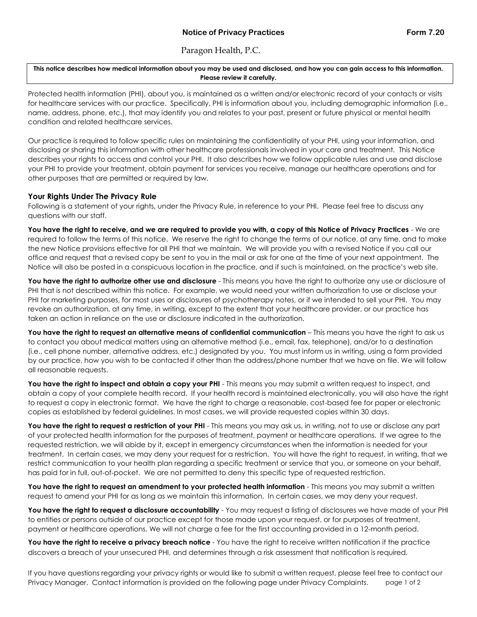## Paragon Health, P.C.

**This notice describes how medical information about you may be used and disclosed, and how you can gain access to this information. Please review it carefully.**

Protected health information (PHI), about you, is maintained as a written and/or electronic record of your contacts or visits for healthcare services with our practice. Specifically, PHI is information about you, including demographic information (i.e., name, address, phone, etc.), that may identify you and relates to your past, present or future physical or mental health condition and related healthcare services.

Our practice is required to follow specific rules on maintaining the confidentiality of your PHI, using your information, and disclosing or sharing this information with other healthcare professionals involved in your care and treatment. This Notice describes your rights to access and control your PHI. It also describes how we follow applicable rules and use and disclose your PHI to provide your treatment, obtain payment for services you receive, manage our healthcare operations and for other purposes that are permitted or required by law.

## **Your Rights Under The Privacy Rule**

Following is a statement of your rights, under the Privacy Rule, in reference to your PHI. Please feel free to discuss any questions with our staff.

**You have the right to receive, and we are required to provide you with, a copy of this Notice of Privacy Practices** - We are required to follow the terms of this notice. We reserve the right to change the terms of our notice, at any time, and to make the new Notice provisions effective for all PHI that we maintain. We will provide you with a revised Notice if you call our office and request that a revised copy be sent to you in the mail or ask for one at the time of your next appointment. The Notice will also be posted in a conspicuous location in the practice, and if such is maintained, on the practice's web site.

**You have the right to authorize other use and disclosure** - This means you have the right to authorize any use or disclosure of PHI that is not described within this notice. For example, we would need your written authorization to use or disclose your PHI for marketing purposes, for most uses or disclosures of psychotherapy notes, or if we intended to sell your PHI. You may revoke an authorization, at any time, in writing, except to the extent that your healthcare provider, or our practice has taken an action in reliance on the use or disclosure indicated in the authorization.

**You have the right to request an alternative means of confidential communication** – This means you have the right to ask us to contact you about medical matters using an alternative method (i.e., email, fax, telephone), and/or to a destination (i.e., cell phone number, alternative address, etc.) designated by you. You must inform us in writing, using a form provided by our practice, how you wish to be contacted if other than the address/phone number that we have on file. We will follow all reasonable requests.

You have the right to inspect and obtain a copy your PHI - This means you may submit a written request to inspect, and obtain a copy of your complete health record. If your health record is maintained electronically, you will also have the right to request a copy in electronic format. We have the right to charge a reasonable, cost-based fee for paper or electronic copies as established by federal guidelines. In most cases, we will provide requested copies within 30 days.

You have the right to request a restriction of your PHI - This means you may ask us, in writing, not to use or disclose any part of your protected health information for the purposes of treatment, payment or healthcare operations. If we agree to the requested restriction, we will abide by it, except in emergency circumstances when the information is needed for your treatment. In certain cases, we may deny your request for a restriction. You will have the right to request, in writing, that we restrict communication to your health plan regarding a specific treatment or service that you, or someone on your behalf, has paid for in full, out-of-pocket. We are not permitted to deny this specific type of requested restriction.

**You have the right to request an amendment to your protected health information** - This means you may submit a written request to amend your PHI for as long as we maintain this information. In certain cases, we may deny your request.

You have the right to request a disclosure accountability - You may request a listing of disclosures we have made of your PHI to entities or persons outside of our practice except for those made upon your request, or for purposes of treatment, payment or healthcare operations. We will not charge a fee for the first accounting provided in a 12-month period.

**You have the right to receive a privacy breach notice** - You have the right to receive written notification if the practice discovers a breach of your unsecured PHI, and determines through a risk assessment that notification is required.

If you have questions regarding your privacy rights or would like to submit a written request, please feel free to contact our Privacy Manager. Contact information is provided on the following page under Privacy Complaints. page 1 of 2